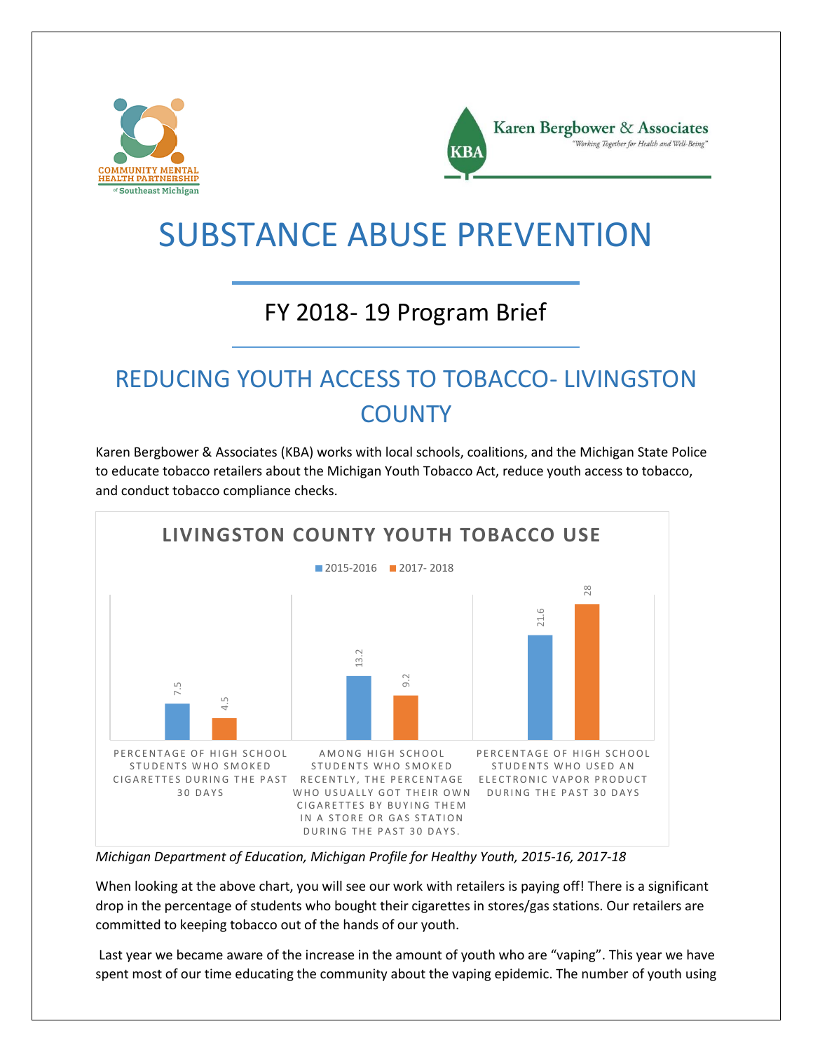



# SUBSTANCE ABUSE PREVENTION

#### FY 2018- 19 Program Brief

### REDUCING YOUTH ACCESS TO TOBACCO- LIVINGSTON **COUNTY**

Karen Bergbower & Associates (KBA) works with local schools, coalitions, and the Michigan State Police to educate tobacco retailers about the Michigan Youth Tobacco Act, reduce youth access to tobacco, and conduct tobacco compliance checks.



*Michigan Department of Education, Michigan Profile for Healthy Youth, 2015-16, 2017-18*

When looking at the above chart, you will see our work with retailers is paying off! There is a significant drop in the percentage of students who bought their cigarettes in stores/gas stations. Our retailers are committed to keeping tobacco out of the hands of our youth.

Last year we became aware of the increase in the amount of youth who are "vaping". This year we have